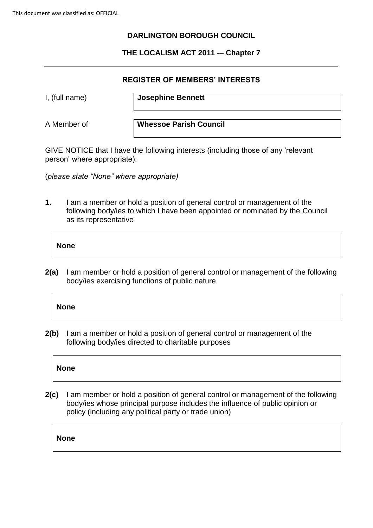# **DARLINGTON BOROUGH COUNCIL**

# **THE LOCALISM ACT 2011 -– Chapter 7**

#### **REGISTER OF MEMBERS' INTERESTS**

I, (full name) **Josephine Bennett**

A Member of **Whessoe Parish Council**

GIVE NOTICE that I have the following interests (including those of any 'relevant person' where appropriate):

(*please state "None" where appropriate)*

**1.** I am a member or hold a position of general control or management of the following body/ies to which I have been appointed or nominated by the Council as its representative

# **None**

**2(a)** I am member or hold a position of general control or management of the following body/ies exercising functions of public nature

# **None**

**2(b)** I am a member or hold a position of general control or management of the following body/ies directed to charitable purposes

# **None**

**2(c)** I am member or hold a position of general control or management of the following body/ies whose principal purpose includes the influence of public opinion or policy (including any political party or trade union)

**None**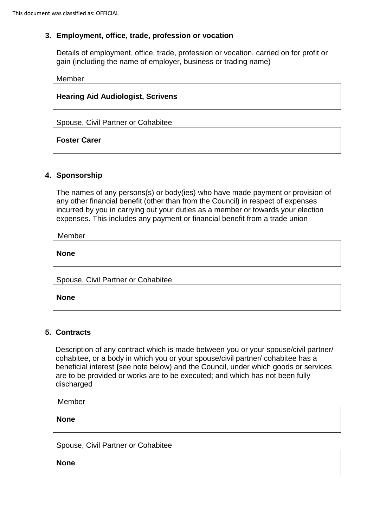## **3. Employment, office, trade, profession or vocation**

Details of employment, office, trade, profession or vocation, carried on for profit or gain (including the name of employer, business or trading name)

Member

**Hearing Aid Audiologist, Scrivens**

Spouse, Civil Partner or Cohabitee

**Foster Carer**

## **4. Sponsorship**

The names of any persons(s) or body(ies) who have made payment or provision of any other financial benefit (other than from the Council) in respect of expenses incurred by you in carrying out your duties as a member or towards your election expenses. This includes any payment or financial benefit from a trade union

Member

**None**

Spouse, Civil Partner or Cohabitee

**None**

## **5. Contracts**

Description of any contract which is made between you or your spouse/civil partner/ cohabitee, or a body in which you or your spouse/civil partner/ cohabitee has a beneficial interest **(**see note below) and the Council, under which goods or services are to be provided or works are to be executed; and which has not been fully discharged

Member

**None**

Spouse, Civil Partner or Cohabitee

**None**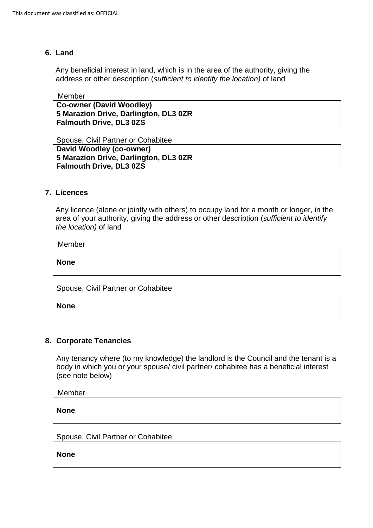#### **6. Land**

Any beneficial interest in land, which is in the area of the authority, giving the address or other description (*sufficient to identify the location)* of land

#### Member

**Co-owner (David Woodley) 5 Marazion Drive, Darlington, DL3 0ZR Falmouth Drive, DL3 0ZS**

Spouse, Civil Partner or Cohabitee **David Woodley (co-owner) 5 Marazion Drive, Darlington, DL3 0ZR Falmouth Drive, DL3 0ZS**

#### **7. Licences**

 Any licence (alone or jointly with others) to occupy land for a month or longer, in the area of your authority, giving the address or other description (*sufficient to identify the location)* of land

Member

**None**

Spouse, Civil Partner or Cohabitee

**None**

## **8. Corporate Tenancies**

Any tenancy where (to my knowledge) the landlord is the Council and the tenant is a body in which you or your spouse/ civil partner/ cohabitee has a beneficial interest (see note below)

Member

**None**

Spouse, Civil Partner or Cohabitee

**None**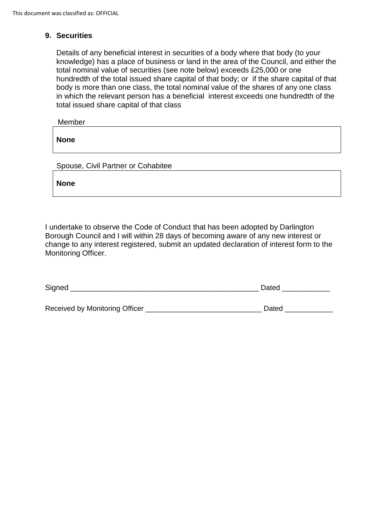## **9. Securities**

Details of any beneficial interest in securities of a body where that body (to your knowledge) has a place of business or land in the area of the Council, and either the total nominal value of securities (see note below) exceeds £25,000 or one hundredth of the total issued share capital of that body; or if the share capital of that body is more than one class, the total nominal value of the shares of any one class in which the relevant person has a beneficial interest exceeds one hundredth of the total issued share capital of that class

Member

**None**

Spouse, Civil Partner or Cohabitee

**None**

I undertake to observe the Code of Conduct that has been adopted by Darlington Borough Council and I will within 28 days of becoming aware of any new interest or change to any interest registered, submit an updated declaration of interest form to the Monitoring Officer.

| Signed                         | Dated |
|--------------------------------|-------|
|                                |       |
| Received by Monitoring Officer | Dated |